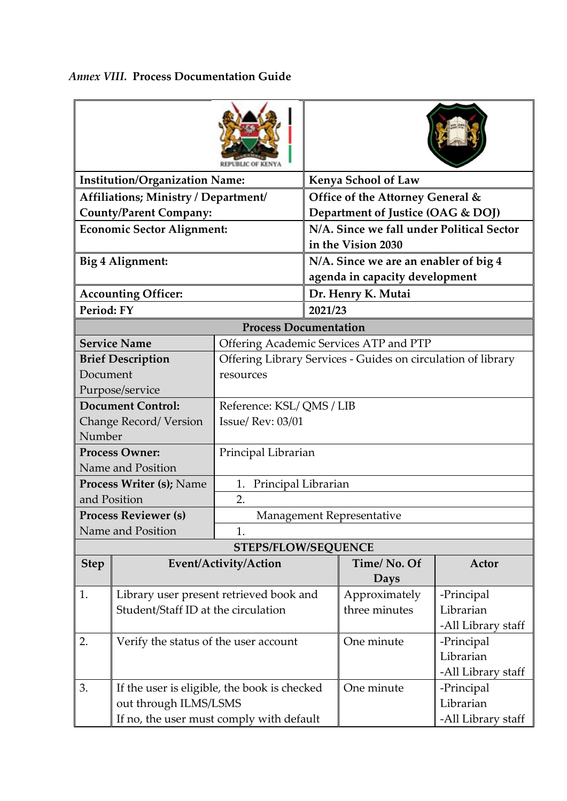| <b>Institution/Organization Name:</b>         |                                                               |                                                              |         | <b>Kenya School of Law</b>                                      |                    |  |  |
|-----------------------------------------------|---------------------------------------------------------------|--------------------------------------------------------------|---------|-----------------------------------------------------------------|--------------------|--|--|
| Affiliations; Ministry / Department/          |                                                               |                                                              |         | Office of the Attorney General &                                |                    |  |  |
| <b>County/Parent Company:</b>                 |                                                               |                                                              |         | Department of Justice (OAG & DOJ)                               |                    |  |  |
| <b>Economic Sector Alignment:</b>             |                                                               |                                                              |         | N/A. Since we fall under Political Sector<br>in the Vision 2030 |                    |  |  |
| Big 4 Alignment:                              |                                                               |                                                              |         | N/A. Since we are an enabler of big 4                           |                    |  |  |
|                                               |                                                               |                                                              |         | agenda in capacity development                                  |                    |  |  |
|                                               | <b>Accounting Officer:</b>                                    |                                                              |         | Dr. Henry K. Mutai                                              |                    |  |  |
| Period: FY                                    |                                                               |                                                              | 2021/23 |                                                                 |                    |  |  |
|                                               |                                                               | <b>Process Documentation</b>                                 |         |                                                                 |                    |  |  |
|                                               | <b>Service Name</b><br>Offering Academic Services ATP and PTP |                                                              |         |                                                                 |                    |  |  |
|                                               | <b>Brief Description</b>                                      | Offering Library Services - Guides on circulation of library |         |                                                                 |                    |  |  |
| Document                                      |                                                               | resources                                                    |         |                                                                 |                    |  |  |
|                                               | Purpose/service                                               |                                                              |         |                                                                 |                    |  |  |
|                                               | <b>Document Control:</b>                                      | Reference: KSL/QMS/LIB                                       |         |                                                                 |                    |  |  |
|                                               | <b>Change Record/Version</b>                                  | <b>Issue/ Rev: 03/01</b>                                     |         |                                                                 |                    |  |  |
| Number                                        |                                                               |                                                              |         |                                                                 |                    |  |  |
| <b>Process Owner:</b>                         |                                                               | Principal Librarian                                          |         |                                                                 |                    |  |  |
|                                               | Name and Position                                             |                                                              |         |                                                                 |                    |  |  |
|                                               | <b>Process Writer (s); Name</b>                               | 1. Principal Librarian                                       |         |                                                                 |                    |  |  |
| and Position<br><b>Process Reviewer (s)</b>   |                                                               | 2.                                                           |         |                                                                 |                    |  |  |
|                                               | Name and Position                                             | Management Representative<br>1.                              |         |                                                                 |                    |  |  |
|                                               |                                                               | <b>STEPS/FLOW/SEQUENCE</b>                                   |         |                                                                 |                    |  |  |
| <b>Step</b>                                   |                                                               | Event/Activity/Action                                        |         | Time/No. Of                                                     | Actor              |  |  |
|                                               |                                                               |                                                              |         | <b>Days</b>                                                     |                    |  |  |
| 1.<br>Library user present retrieved book and |                                                               |                                                              |         | Approximately                                                   | -Principal         |  |  |
| Student/Staff ID at the circulation           |                                                               |                                                              |         | three minutes                                                   | Librarian          |  |  |
|                                               |                                                               |                                                              |         |                                                                 | -All Library staff |  |  |
| 2.<br>Verify the status of the user account   |                                                               |                                                              |         | One minute                                                      | -Principal         |  |  |
|                                               |                                                               |                                                              |         |                                                                 | Librarian          |  |  |
|                                               |                                                               |                                                              |         |                                                                 | -All Library staff |  |  |
| 3.                                            | If the user is eligible, the book is checked                  |                                                              |         | One minute                                                      | -Principal         |  |  |
|                                               | out through ILMS/LSMS                                         |                                                              |         |                                                                 | Librarian          |  |  |
|                                               | If no, the user must comply with default                      |                                                              |         |                                                                 | -All Library staff |  |  |

## *Annex VIII.* **Process Documentation Guide**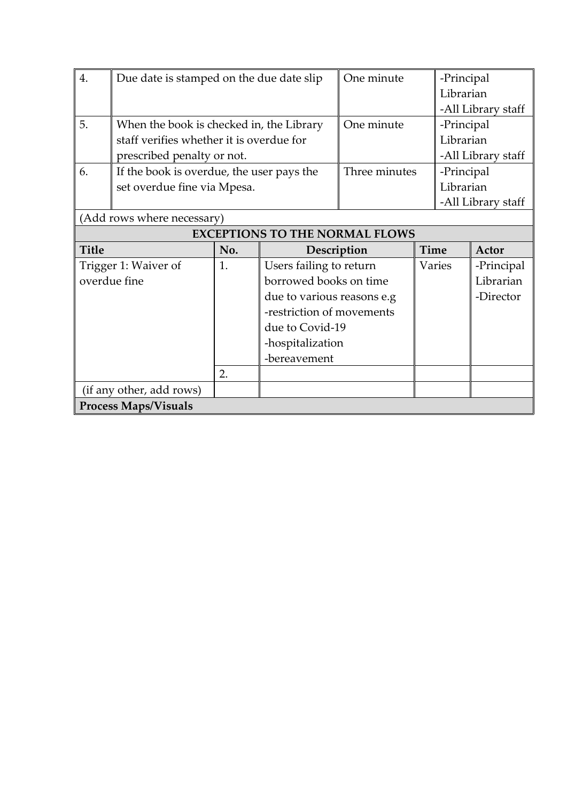| $\overline{4}$ .                      |                                           | Due date is stamped on the due date slip |                            | One minute         |      | -Principal         |            |  |  |
|---------------------------------------|-------------------------------------------|------------------------------------------|----------------------------|--------------------|------|--------------------|------------|--|--|
|                                       |                                           |                                          |                            |                    |      | Librarian          |            |  |  |
|                                       |                                           |                                          | -All Library staff         |                    |      |                    |            |  |  |
| 5.                                    | When the book is checked in, the Library  |                                          |                            | One minute         |      | -Principal         |            |  |  |
|                                       | staff verifies whether it is overdue for  |                                          |                            |                    |      | Librarian          |            |  |  |
|                                       | prescribed penalty or not.                |                                          |                            | -All Library staff |      |                    |            |  |  |
| 6.                                    | If the book is overdue, the user pays the |                                          |                            | Three minutes      |      | -Principal         |            |  |  |
|                                       | set overdue fine via Mpesa.               |                                          |                            |                    |      | Librarian          |            |  |  |
|                                       |                                           |                                          |                            |                    |      | -All Library staff |            |  |  |
| (Add rows where necessary)            |                                           |                                          |                            |                    |      |                    |            |  |  |
| <b>EXCEPTIONS TO THE NORMAL FLOWS</b> |                                           |                                          |                            |                    |      |                    |            |  |  |
|                                       |                                           |                                          |                            |                    |      |                    |            |  |  |
| <b>Title</b>                          |                                           | No.                                      | Description                |                    | Time |                    | Actor      |  |  |
|                                       | Trigger 1: Waiver of                      | 1.                                       | Users failing to return    |                    |      | Varies             | -Principal |  |  |
|                                       | overdue fine                              |                                          | borrowed books on time     |                    |      |                    | Librarian  |  |  |
|                                       |                                           |                                          | due to various reasons e.g |                    |      |                    | -Director  |  |  |
|                                       |                                           |                                          | -restriction of movements  |                    |      |                    |            |  |  |
|                                       |                                           |                                          | due to Covid-19            |                    |      |                    |            |  |  |
|                                       |                                           |                                          | -hospitalization           |                    |      |                    |            |  |  |
|                                       |                                           |                                          | -bereavement               |                    |      |                    |            |  |  |
|                                       |                                           | 2.                                       |                            |                    |      |                    |            |  |  |
|                                       | (if any other, add rows)                  |                                          |                            |                    |      |                    |            |  |  |